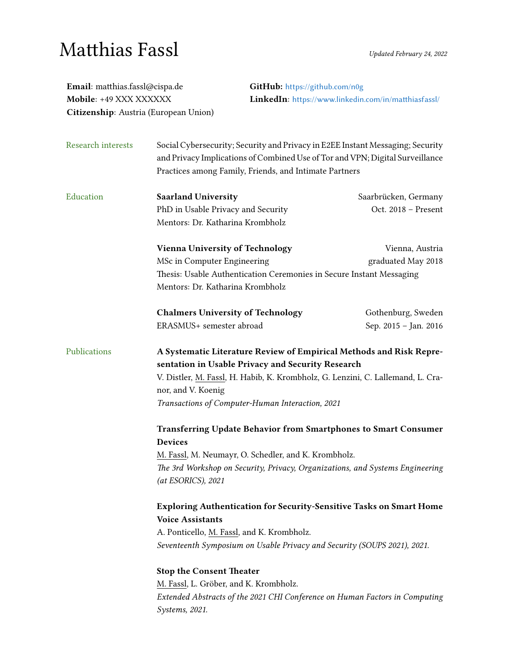## $\mathbf{Matthias}$   $\mathbf{Fassl}$  Updated February 24, 2022

| Email: matthias.fassl@cispa.de<br>Mobile: +49 XXX XXXXXX<br>Citizenship: Austria (European Union) |                                                                                                                                                                                                                                                                                       | GitHub: https://github.com/n0g<br>LinkedIn: https://www.linkedin.com/in/matthiasfassl/ |  |
|---------------------------------------------------------------------------------------------------|---------------------------------------------------------------------------------------------------------------------------------------------------------------------------------------------------------------------------------------------------------------------------------------|----------------------------------------------------------------------------------------|--|
| Research interests                                                                                | Social Cybersecurity; Security and Privacy in E2EE Instant Messaging; Security<br>and Privacy Implications of Combined Use of Tor and VPN; Digital Surveillance<br>Practices among Family, Friends, and Intimate Partners                                                             |                                                                                        |  |
| Education                                                                                         | <b>Saarland University</b><br>PhD in Usable Privacy and Security<br>Mentors: Dr. Katharina Krombholz                                                                                                                                                                                  | Saarbrücken, Germany<br>Oct. 2018 - Present                                            |  |
|                                                                                                   | <b>Vienna University of Technology</b><br>MSc in Computer Engineering<br>Thesis: Usable Authentication Ceremonies in Secure Instant Messaging<br>Mentors: Dr. Katharina Krombholz                                                                                                     | Vienna, Austria<br>graduated May 2018                                                  |  |
|                                                                                                   | <b>Chalmers University of Technology</b><br>ERASMUS+ semester abroad                                                                                                                                                                                                                  | Gothenburg, Sweden<br>Sep. 2015 - Jan. 2016                                            |  |
| Publications                                                                                      | A Systematic Literature Review of Empirical Methods and Risk Repre-<br>sentation in Usable Privacy and Security Research<br>V. Distler, M. Fassl, H. Habib, K. Krombholz, G. Lenzini, C. Lallemand, L. Cra-<br>nor, and V. Koenig<br>Transactions of Computer-Human Interaction, 2021 |                                                                                        |  |
|                                                                                                   | Transferring Update Behavior from Smartphones to Smart Consumer<br><b>Devices</b><br>M. Fassl, M. Neumayr, O. Schedler, and K. Krombholz.<br>The 3rd Workshop on Security, Privacy, Organizations, and Systems Engineering<br>(at ESORICS), 2021                                      |                                                                                        |  |
|                                                                                                   | <b>Exploring Authentication for Security-Sensitive Tasks on Smart Home</b><br><b>Voice Assistants</b><br>A. Ponticello, M. Fassl, and K. Krombholz.<br>Seventeenth Symposium on Usable Privacy and Security (SOUPS 2021), 2021.                                                       |                                                                                        |  |
|                                                                                                   | <b>Stop the Consent Theater</b><br>M. Fassl, L. Gröber, and K. Krombholz.<br>Extended Abstracts of the 2021 CHI Conference on Human Factors in Computing<br>Systems, 2021.                                                                                                            |                                                                                        |  |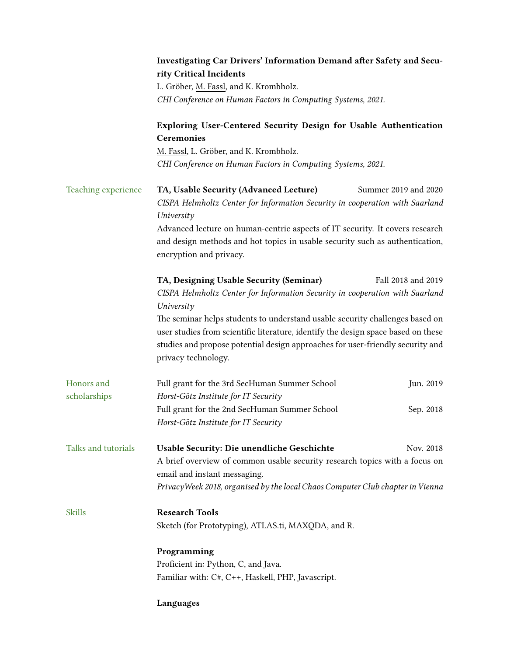|                     | Investigating Car Drivers' Information Demand after Safety and Secu-<br>rity Critical Incidents                                                                   |                      |  |
|---------------------|-------------------------------------------------------------------------------------------------------------------------------------------------------------------|----------------------|--|
|                     | L. Gröber, M. Fassl, and K. Krombholz.                                                                                                                            |                      |  |
|                     | CHI Conference on Human Factors in Computing Systems, 2021.                                                                                                       |                      |  |
|                     | Exploring User-Centered Security Design for Usable Authentication<br>Ceremonies                                                                                   |                      |  |
|                     | M. Fassl, L. Gröber, and K. Krombholz.                                                                                                                            |                      |  |
|                     | CHI Conference on Human Factors in Computing Systems, 2021.                                                                                                       |                      |  |
| Teaching experience | TA, Usable Security (Advanced Lecture)                                                                                                                            | Summer 2019 and 2020 |  |
|                     | CISPA Helmholtz Center for Information Security in cooperation with Saarland<br>University                                                                        |                      |  |
|                     | Advanced lecture on human-centric aspects of IT security. It covers research                                                                                      |                      |  |
|                     | and design methods and hot topics in usable security such as authentication,<br>encryption and privacy.                                                           |                      |  |
|                     | TA, Designing Usable Security (Seminar)                                                                                                                           | Fall 2018 and 2019   |  |
|                     | CISPA Helmholtz Center for Information Security in cooperation with Saarland<br>University                                                                        |                      |  |
|                     | The seminar helps students to understand usable security challenges based on<br>user studies from scientific literature, identify the design space based on these |                      |  |
|                     |                                                                                                                                                                   |                      |  |
|                     | studies and propose potential design approaches for user-friendly security and                                                                                    |                      |  |
|                     | privacy technology.                                                                                                                                               |                      |  |
| Honors and          | Full grant for the 3rd SecHuman Summer School                                                                                                                     | Jun. 2019            |  |
| scholarships        | Horst-Götz Institute for IT Security                                                                                                                              |                      |  |
|                     | Full grant for the 2nd SecHuman Summer School                                                                                                                     | Sep. 2018            |  |
|                     | Horst-Götz Institute for IT Security                                                                                                                              |                      |  |
| Talks and tutorials | Usable Security: Die unendliche Geschichte                                                                                                                        | Nov. 2018            |  |
|                     | A brief overview of common usable security research topics with a focus on                                                                                        |                      |  |
|                     | email and instant messaging.<br>PrivacyWeek 2018, organised by the local Chaos Computer Club chapter in Vienna                                                    |                      |  |
|                     |                                                                                                                                                                   |                      |  |
| <b>Skills</b>       | <b>Research Tools</b>                                                                                                                                             |                      |  |
|                     | Sketch (for Prototyping), ATLAS.ti, MAXQDA, and R.                                                                                                                |                      |  |
|                     | Programming                                                                                                                                                       |                      |  |
|                     | Proficient in: Python, C, and Java.                                                                                                                               |                      |  |
|                     | Familiar with: C#, C++, Haskell, PHP, Javascript.                                                                                                                 |                      |  |
|                     | Languages                                                                                                                                                         |                      |  |